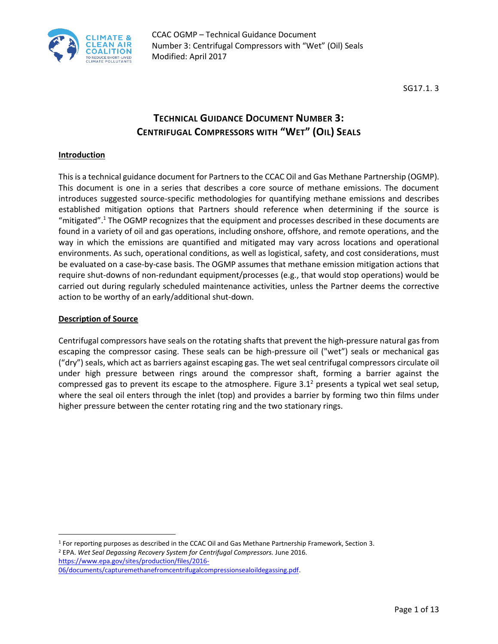

SG17.1. 3

# **TECHNICAL GUIDANCE DOCUMENT NUMBER 3: CENTRIFUGAL COMPRESSORS WITH "WET" (OIL) SEALS**

#### **Introduction**

This is a technical guidance document for Partners to the CCAC Oil and Gas Methane Partnership (OGMP). This document is one in a series that describes a core source of methane emissions. The document introduces suggested source-specific methodologies for quantifying methane emissions and describes established mitigation options that Partners should reference when determining if the source is "mitigated".<sup>1</sup> The OGMP recognizes that the equipment and processes described in these documents are found in a variety of oil and gas operations, including onshore, offshore, and remote operations, and the way in which the emissions are quantified and mitigated may vary across locations and operational environments. As such, operational conditions, as well as logistical, safety, and cost considerations, must be evaluated on a case-by-case basis. The OGMP assumes that methane emission mitigation actions that require shut-downs of non-redundant equipment/processes (e.g., that would stop operations) would be carried out during regularly scheduled maintenance activities, unless the Partner deems the corrective action to be worthy of an early/additional shut-down.

#### **Description of Source**

l

Centrifugal compressors have seals on the rotating shafts that prevent the high-pressure natural gas from escaping the compressor casing. These seals can be high-pressure oil ("wet") seals or mechanical gas ("dry") seals, which act as barriers against escaping gas. The wet seal centrifugal compressors circulate oil under high pressure between rings around the compressor shaft, forming a barrier against the compressed gas to prevent its escape to the atmosphere. Figure  $3.1<sup>2</sup>$  presents a typical wet seal setup, where the seal oil enters through the inlet (top) and provides a barrier by forming two thin films under higher pressure between the center rotating ring and the two stationary rings.

<sup>1</sup> For reporting purposes as described in the CCAC Oil and Gas Methane Partnership Framework, Section 3.

<sup>2</sup> EPA. *Wet Seal Degassing Recovery System for Centrifugal Compressors.* June 2016. https://www.epa.gov/sites/production/files/2016-

06/documents/capturemethanefromcentrifugalcompressionsealoildegassing.pdf.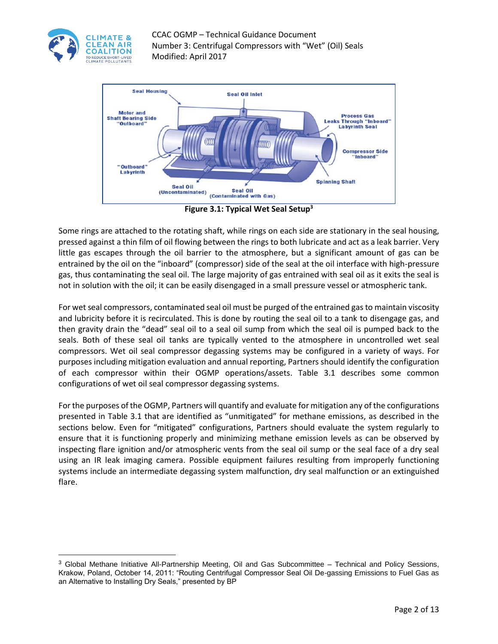

 $\overline{\phantom{a}}$ 

CCAC OGMP – Technical Guidance Document Number 3: Centrifugal Compressors with "Wet" (Oil) Seals Modified: April 2017



**Figure 3.1: Typical Wet Seal Setup<sup>3</sup>**

Some rings are attached to the rotating shaft, while rings on each side are stationary in the seal housing, pressed against a thin film of oil flowing between the rings to both lubricate and act as a leak barrier. Very little gas escapes through the oil barrier to the atmosphere, but a significant amount of gas can be entrained by the oil on the "inboard" (compressor) side of the seal at the oil interface with high-pressure gas, thus contaminating the seal oil. The large majority of gas entrained with seal oil as it exits the seal is not in solution with the oil; it can be easily disengaged in a small pressure vessel or atmospheric tank.

For wet seal compressors, contaminated seal oil must be purged of the entrained gas to maintain viscosity and lubricity before it is recirculated. This is done by routing the seal oil to a tank to disengage gas, and then gravity drain the "dead" seal oil to a seal oil sump from which the seal oil is pumped back to the seals. Both of these seal oil tanks are typically vented to the atmosphere in uncontrolled wet seal compressors. Wet oil seal compressor degassing systems may be configured in a variety of ways. For purposes including mitigation evaluation and annual reporting, Partners should identify the configuration of each compressor within their OGMP operations/assets. Table 3.1 describes some common configurations of wet oil seal compressor degassing systems.

For the purposes of the OGMP, Partners will quantify and evaluate for mitigation any of the configurations presented in Table 3.1 that are identified as "unmitigated" for methane emissions, as described in the sections below. Even for "mitigated" configurations, Partners should evaluate the system regularly to ensure that it is functioning properly and minimizing methane emission levels as can be observed by inspecting flare ignition and/or atmospheric vents from the seal oil sump or the seal face of a dry seal using an IR leak imaging camera. Possible equipment failures resulting from improperly functioning systems include an intermediate degassing system malfunction, dry seal malfunction or an extinguished flare.

<sup>3</sup> Global Methane Initiative All-Partnership Meeting, Oil and Gas Subcommittee – Technical and Policy Sessions, Krakow, Poland, October 14, 2011: "Routing Centrifugal Compressor Seal Oil De-gassing Emissions to Fuel Gas as an Alternative to Installing Dry Seals," presented by BP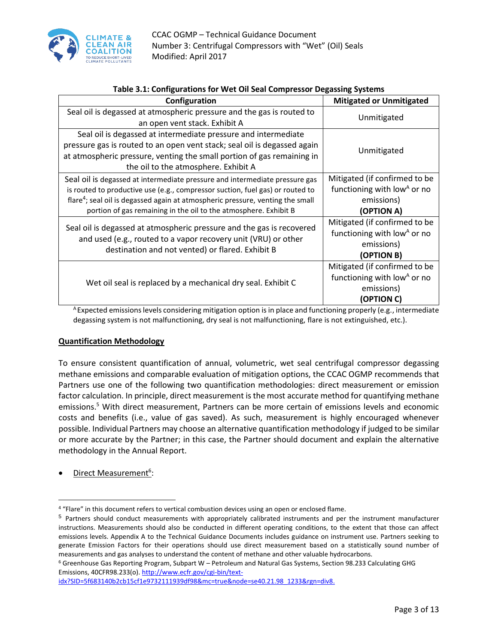

| rapic 3.1. Comigurations for well on sear compressor Degassing Systems                                                                                                                                                                                                                                                         |                                                                                                      |  |  |  |  |
|--------------------------------------------------------------------------------------------------------------------------------------------------------------------------------------------------------------------------------------------------------------------------------------------------------------------------------|------------------------------------------------------------------------------------------------------|--|--|--|--|
| Configuration                                                                                                                                                                                                                                                                                                                  | <b>Mitigated or Unmitigated</b>                                                                      |  |  |  |  |
| Seal oil is degassed at atmospheric pressure and the gas is routed to<br>an open vent stack. Exhibit A                                                                                                                                                                                                                         | Unmitigated                                                                                          |  |  |  |  |
| Seal oil is degassed at intermediate pressure and intermediate<br>pressure gas is routed to an open vent stack; seal oil is degassed again<br>at atmospheric pressure, venting the small portion of gas remaining in<br>the oil to the atmosphere. Exhibit A                                                                   | Unmitigated                                                                                          |  |  |  |  |
| Seal oil is degassed at intermediate pressure and intermediate pressure gas<br>is routed to productive use (e.g., compressor suction, fuel gas) or routed to<br>flare <sup>4</sup> ; seal oil is degassed again at atmospheric pressure, venting the small<br>portion of gas remaining in the oil to the atmosphere. Exhibit B | Mitigated (if confirmed to be<br>functioning with low <sup>A</sup> or no<br>emissions)<br>(OPTION A) |  |  |  |  |
| Seal oil is degassed at atmospheric pressure and the gas is recovered<br>and used (e.g., routed to a vapor recovery unit (VRU) or other<br>destination and not vented) or flared. Exhibit B                                                                                                                                    | Mitigated (if confirmed to be<br>functioning with low <sup>A</sup> or no<br>emissions)<br>(OPTION B) |  |  |  |  |
| Wet oil seal is replaced by a mechanical dry seal. Exhibit C                                                                                                                                                                                                                                                                   | Mitigated (if confirmed to be<br>functioning with low <sup>A</sup> or no<br>emissions)<br>(OPTION C) |  |  |  |  |

#### **Table 3.1: Configurations for Wet Oil Seal Compressor Degassing Systems**

<sup>A</sup> Expected emissions levels considering mitigation option is in place and functioning properly (e.g., intermediate degassing system is not malfunctioning, dry seal is not malfunctioning, flare is not extinguished, etc.).

#### **Quantification Methodology**

To ensure consistent quantification of annual, volumetric, wet seal centrifugal compressor degassing methane emissions and comparable evaluation of mitigation options, the CCAC OGMP recommends that Partners use one of the following two quantification methodologies: direct measurement or emission factor calculation. In principle, direct measurement is the most accurate method for quantifying methane emissions.<sup>5</sup> With direct measurement, Partners can be more certain of emissions levels and economic costs and benefits (i.e., value of gas saved). As such, measurement is highly encouraged whenever possible. Individual Partners may choose an alternative quantification methodology if judged to be similar or more accurate by the Partner; in this case, the Partner should document and explain the alternative methodology in the Annual Report.

• Direct Measurement<sup>6</sup>:

l

<sup>6</sup> Greenhouse Gas Reporting Program, Subpart W – Petroleum and Natural Gas Systems, Section 98.233 Calculating GHG Emissions, 40CFR98.233(o)[. http://www.ecfr.gov/cgi-bin/text-](http://www.ecfr.gov/cgi-bin/text-idx?SID=5f683140b2cb15cf1e9732111939df98&mc=true&node=se40.21.98_1233&rgn=div8)

[idx?SID=5f683140b2cb15cf1e9732111939df98&mc=true&node=se40.21.98\\_1233&rgn=div8.](http://www.ecfr.gov/cgi-bin/text-idx?SID=5f683140b2cb15cf1e9732111939df98&mc=true&node=se40.21.98_1233&rgn=div8)

<sup>4</sup> "Flare" in this document refers to vertical combustion devices using an open or enclosed flame.

<sup>5</sup> Partners should conduct measurements with appropriately calibrated instruments and per the instrument manufacturer instructions. Measurements should also be conducted in different operating conditions, to the extent that those can affect emissions levels. Appendix A to the Technical Guidance Documents includes guidance on instrument use. Partners seeking to generate Emission Factors for their operations should use direct measurement based on a statistically sound number of measurements and gas analyses to understand the content of methane and other valuable hydrocarbons.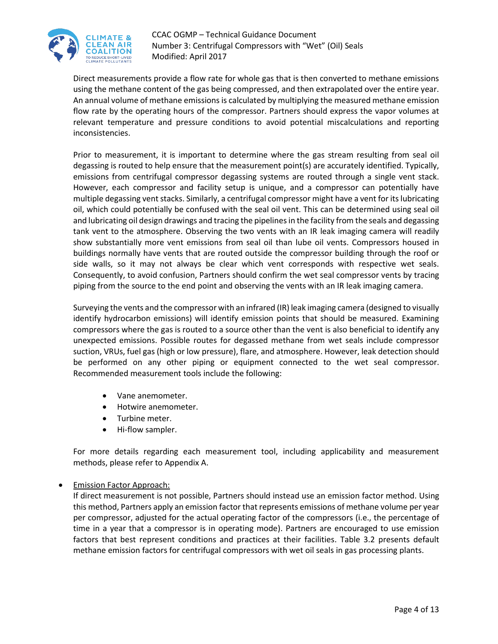

Direct measurements provide a flow rate for whole gas that is then converted to methane emissions using the methane content of the gas being compressed, and then extrapolated over the entire year. An annual volume of methane emissions is calculated by multiplying the measured methane emission flow rate by the operating hours of the compressor. Partners should express the vapor volumes at relevant temperature and pressure conditions to avoid potential miscalculations and reporting inconsistencies.

Prior to measurement, it is important to determine where the gas stream resulting from seal oil degassing is routed to help ensure that the measurement point(s) are accurately identified. Typically, emissions from centrifugal compressor degassing systems are routed through a single vent stack. However, each compressor and facility setup is unique, and a compressor can potentially have multiple degassing vent stacks. Similarly, a centrifugal compressor might have a vent for its lubricating oil, which could potentially be confused with the seal oil vent. This can be determined using seal oil and lubricating oil design drawings and tracing the pipelines in the facility from the seals and degassing tank vent to the atmosphere. Observing the two vents with an IR leak imaging camera will readily show substantially more vent emissions from seal oil than lube oil vents. Compressors housed in buildings normally have vents that are routed outside the compressor building through the roof or side walls, so it may not always be clear which vent corresponds with respective wet seals. Consequently, to avoid confusion, Partners should confirm the wet seal compressor vents by tracing piping from the source to the end point and observing the vents with an IR leak imaging camera.

Surveying the vents and the compressor with an infrared (IR) leak imaging camera (designed to visually identify hydrocarbon emissions) will identify emission points that should be measured. Examining compressors where the gas is routed to a source other than the vent is also beneficial to identify any unexpected emissions. Possible routes for degassed methane from wet seals include compressor suction, VRUs, fuel gas (high or low pressure), flare, and atmosphere. However, leak detection should be performed on any other piping or equipment connected to the wet seal compressor. Recommended measurement tools include the following:

- Vane anemometer.
- Hotwire anemometer.
- Turbine meter.
- Hi-flow sampler.

For more details regarding each measurement tool, including applicability and measurement methods, please refer to Appendix A.

#### Emission Factor Approach:

If direct measurement is not possible, Partners should instead use an emission factor method. Using this method, Partners apply an emission factor that represents emissions of methane volume per year per compressor, adjusted for the actual operating factor of the compressors (i.e., the percentage of time in a year that a compressor is in operating mode). Partners are encouraged to use emission factors that best represent conditions and practices at their facilities. Table 3.2 presents default methane emission factors for centrifugal compressors with wet oil seals in gas processing plants.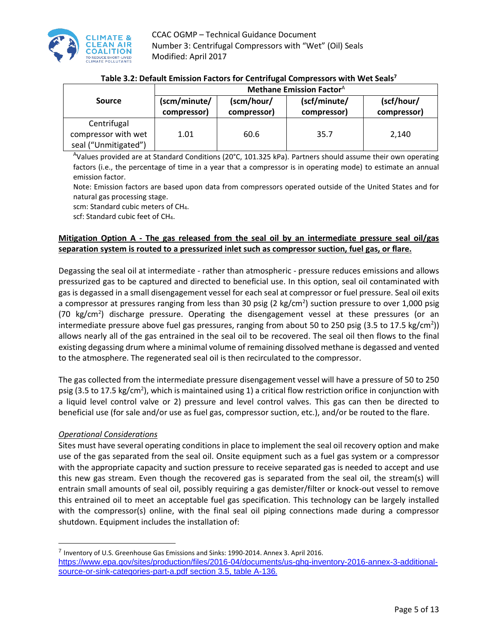

|                                                            | <b>Methane Emission Factor</b> <sup>A</sup> |                           |                             |                           |
|------------------------------------------------------------|---------------------------------------------|---------------------------|-----------------------------|---------------------------|
| Source                                                     | (scm/minute/<br>compressor)                 | (scm/hour/<br>compressor) | (scf/minute/<br>compressor) | (scf/hour/<br>compressor) |
| Centrifugal<br>compressor with wet<br>seal ("Unmitigated") | 1.01                                        | 60.6                      | 35.7                        | 2.140                     |

## **Table 3.2: Default Emission Factors for Centrifugal Compressors with Wet Seals 7**

<sup>A</sup>Values provided are at Standard Conditions (20°C, 101.325 kPa). Partners should assume their own operating factors (i.e., the percentage of time in a year that a compressor is in operating mode) to estimate an annual emission factor.

Note: Emission factors are based upon data from compressors operated outside of the United States and for natural gas processing stage.

scm: Standard cubic meters of CH4.

scf: Standard cubic feet of CH4.

# **Mitigation Option A - The gas released from the seal oil by an intermediate pressure seal oil/gas separation system is routed to a pressurized inlet such as compressor suction, fuel gas, or flare.**

Degassing the seal oil at intermediate - rather than atmospheric - pressure reduces emissions and allows pressurized gas to be captured and directed to beneficial use. In this option, seal oil contaminated with gas is degassed in a small disengagement vessel for each seal at compressor or fuel pressure. Seal oil exits a compressor at pressures ranging from less than 30 psig (2 kg/cm<sup>2</sup>) suction pressure to over 1,000 psig (70 kg/cm<sup>2</sup>) discharge pressure. Operating the disengagement vessel at these pressures (or an intermediate pressure above fuel gas pressures, ranging from about 50 to 250 psig (3.5 to 17.5 kg/cm<sup>2</sup>)) allows nearly all of the gas entrained in the seal oil to be recovered. The seal oil then flows to the final existing degassing drum where a minimal volume of remaining dissolved methane is degassed and vented to the atmosphere. The regenerated seal oil is then recirculated to the compressor.

The gas collected from the intermediate pressure disengagement vessel will have a pressure of 50 to 250 psig (3.5 to 17.5 kg/cm<sup>2</sup>), which is maintained using 1) a critical flow restriction orifice in conjunction with a liquid level control valve or 2) pressure and level control valves. This gas can then be directed to beneficial use (for sale and/or use as fuel gas, compressor suction, etc.), and/or be routed to the flare.

## *Operational Considerations*

 $\overline{a}$ 

Sites must have several operating conditions in place to implement the seal oil recovery option and make use of the gas separated from the seal oil. Onsite equipment such as a fuel gas system or a compressor with the appropriate capacity and suction pressure to receive separated gas is needed to accept and use this new gas stream. Even though the recovered gas is separated from the seal oil, the stream(s) will entrain small amounts of seal oil, possibly requiring a gas demister/filter or knock-out vessel to remove this entrained oil to meet an acceptable fuel gas specification. This technology can be largely installed with the compressor(s) online, with the final seal oil piping connections made during a compressor shutdown. Equipment includes the installation of:

<sup>&</sup>lt;sup>7</sup> Inventory of U.S. Greenhouse Gas Emissions and Sinks: 1990-2014. Annex 3. April 2016.

[https://www.epa.gov/sites/production/files/2016-04/documents/us-ghg-inventory-2016-annex-3-additional](https://www.epa.gov/sites/production/files/2016-04/documents/us-ghg-inventory-2016-annex-3-additional-source-or-sink-categories-part-a.pdf%20section%203.5)[source-or-sink-categories-part-a.pdf](https://www.epa.gov/sites/production/files/2016-04/documents/us-ghg-inventory-2016-annex-3-additional-source-or-sink-categories-part-a.pdf%20section%203.5) section 3.5, table A-136.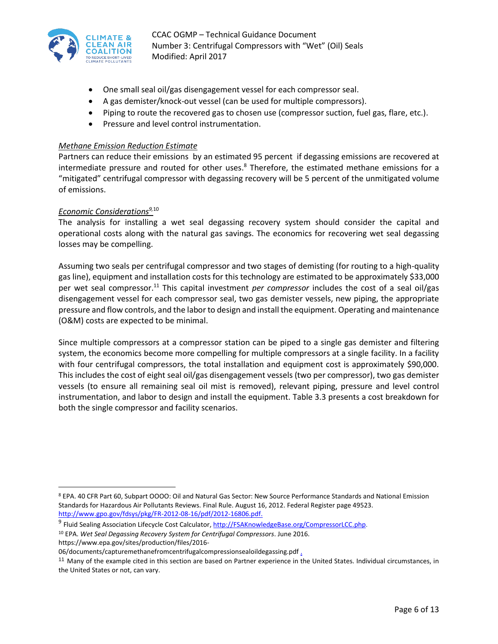

- One small seal oil/gas disengagement vessel for each compressor seal.
- A gas demister/knock-out vessel (can be used for multiple compressors).
- Piping to route the recovered gas to chosen use (compressor suction, fuel gas, flare, etc.).
- Pressure and level control instrumentation.

#### *Methane Emission Reduction Estimate*

Partners can reduce their emissions by an estimated 95 percent if degassing emissions are recovered at intermediate pressure and routed for other uses. <sup>8</sup> Therefore, the estimated methane emissions for a "mitigated" centrifugal compressor with degassing recovery will be 5 percent of the unmitigated volume of emissions.

#### *Economic Considerations9,*<sup>10</sup>

The analysis for installing a wet seal degassing recovery system should consider the capital and operational costs along with the natural gas savings. The economics for recovering wet seal degassing losses may be compelling.

Assuming two seals per centrifugal compressor and two stages of demisting (for routing to a high-quality gas line), equipment and installation costs for this technology are estimated to be approximately \$33,000 per wet seal compressor. <sup>11</sup> This capital investment *per compressor* includes the cost of a seal oil/gas disengagement vessel for each compressor seal, two gas demister vessels, new piping, the appropriate pressure and flow controls, and the labor to design and install the equipment. Operating and maintenance (O&M) costs are expected to be minimal.

Since multiple compressors at a compressor station can be piped to a single gas demister and filtering system, the economics become more compelling for multiple compressors at a single facility. In a facility with four centrifugal compressors, the total installation and equipment cost is approximately \$90,000. This includes the cost of eight seal oil/gas disengagement vessels (two per compressor), two gas demister vessels (to ensure all remaining seal oil mist is removed), relevant piping, pressure and level control instrumentation, and labor to design and install the equipment. Table 3.3 presents a cost breakdown for both the single compressor and facility scenarios.

 $\overline{a}$ <sup>8</sup> EPA. 40 CFR Part 60, Subpart OOOO: Oil and Natural Gas Sector: New Source Performance Standards and National Emission Standards for Hazardous Air Pollutants Reviews. Final Rule. August 16, 2012. Federal Register page 49523. [http://www.gpo.gov/fdsys/pkg/FR-2012-08-16/pdf/2012-16806.pdf.](http://www.gpo.gov/fdsys/pkg/FR-2012-08-16/pdf/2012-16806.pdf)

<sup>&</sup>lt;sup>9</sup> Fluid Sealing Association Lifecycle Cost Calculator[, http://FSAKnowledgeBase.org/CompressorLCC.php.](http://fsaknowledgebase.org/CompressorLCC.php) <sup>10</sup> EPA. *Wet Seal Degassing Recovery System for Centrifugal Compressors*. June 2016. https://www.epa.gov/sites/production/files/2016-

<sup>06/</sup>documents/capturemethanefromcentrifugalcompressionsealoildegassing.pdf .

<sup>&</sup>lt;sup>11</sup> Many of the example cited in this section are based on Partner experience in the United States. Individual circumstances, in the United States or not, can vary.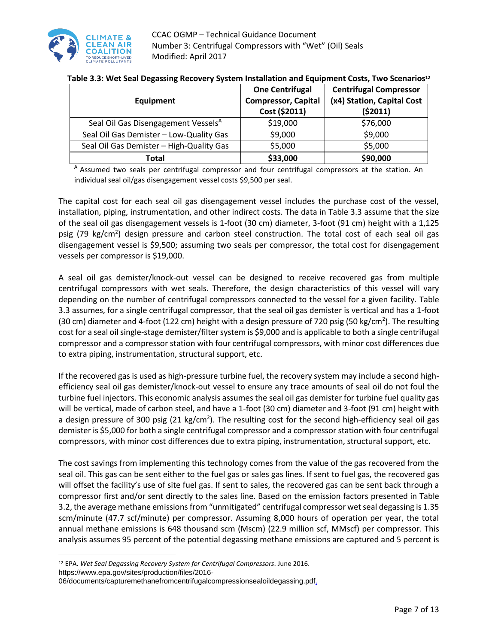

| Equipment                                       | <b>One Centrifugal</b><br><b>Compressor, Capital</b><br>Cost (\$2011) | <b>Centrifugal Compressor</b><br>(x4) Station, Capital Cost<br>(52011) |
|-------------------------------------------------|-----------------------------------------------------------------------|------------------------------------------------------------------------|
| Seal Oil Gas Disengagement Vessels <sup>A</sup> | \$19,000                                                              | \$76,000                                                               |
| Seal Oil Gas Demister - Low-Quality Gas         | \$9,000                                                               | \$9,000                                                                |
| Seal Oil Gas Demister - High-Quality Gas        | \$5,000                                                               | \$5,000                                                                |
| Total                                           | \$33,000                                                              | \$90,000                                                               |

A Assumed two seals per centrifugal compressor and four centrifugal compressors at the station. An individual seal oil/gas disengagement vessel costs \$9,500 per seal.

The capital cost for each seal oil gas disengagement vessel includes the purchase cost of the vessel, installation, piping, instrumentation, and other indirect costs. The data in Table 3.3 assume that the size of the seal oil gas disengagement vessels is 1-foot (30 cm) diameter, 3-foot (91 cm) height with a 1,125 psig (79 kg/cm<sup>2</sup>) design pressure and carbon steel construction. The total cost of each seal oil gas disengagement vessel is \$9,500; assuming two seals per compressor, the total cost for disengagement vessels per compressor is \$19,000.

A seal oil gas demister/knock-out vessel can be designed to receive recovered gas from multiple centrifugal compressors with wet seals. Therefore, the design characteristics of this vessel will vary depending on the number of centrifugal compressors connected to the vessel for a given facility. Table 3.3 assumes, for a single centrifugal compressor, that the seal oil gas demister is vertical and has a 1-foot (30 cm) diameter and 4-foot (122 cm) height with a design pressure of 720 psig (50 kg/cm<sup>2</sup>). The resulting cost for a seal oil single-stage demister/filter system is \$9,000 and is applicable to both a single centrifugal compressor and a compressor station with four centrifugal compressors, with minor cost differences due to extra piping, instrumentation, structural support, etc.

If the recovered gas is used as high-pressure turbine fuel, the recovery system may include a second highefficiency seal oil gas demister/knock-out vessel to ensure any trace amounts of seal oil do not foul the turbine fuel injectors. This economic analysis assumes the seal oil gas demister for turbine fuel quality gas will be vertical, made of carbon steel, and have a 1-foot (30 cm) diameter and 3-foot (91 cm) height with a design pressure of 300 psig (21 kg/cm<sup>2</sup>). The resulting cost for the second high-efficiency seal oil gas demister is \$5,000 for both a single centrifugal compressor and a compressor station with four centrifugal compressors, with minor cost differences due to extra piping, instrumentation, structural support, etc.

The cost savings from implementing this technology comes from the value of the gas recovered from the seal oil. This gas can be sent either to the fuel gas or sales gas lines. If sent to fuel gas, the recovered gas will offset the facility's use of site fuel gas. If sent to sales, the recovered gas can be sent back through a compressor first and/or sent directly to the sales line. Based on the emission factors presented in Table 3.2, the average methane emissions from "unmitigated" centrifugal compressor wet seal degassing is 1.35 scm/minute (47.7 scf/minute) per compressor. Assuming 8,000 hours of operation per year, the total annual methane emissions is 648 thousand scm (Mscm) (22.9 million scf, MMscf) per compressor. This analysis assumes 95 percent of the potential degassing methane emissions are captured and 5 percent is

 $\overline{a}$ <sup>12</sup> EPA. *Wet Seal Degassing Recovery System for Centrifugal Compressors*. June 2016.

https://www.epa.gov/sites/production/files/2016- 06/documents/capturemethanefromcentrifugalcompressionsealoildegassing.pdf.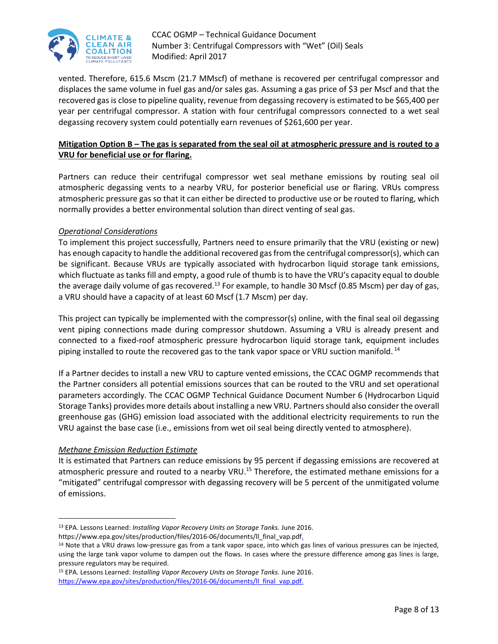

vented. Therefore, 615.6 Mscm (21.7 MMscf) of methane is recovered per centrifugal compressor and displaces the same volume in fuel gas and/or sales gas. Assuming a gas price of \$3 per Mscf and that the recovered gas is close to pipeline quality, revenue from degassing recovery is estimated to be \$65,400 per year per centrifugal compressor. A station with four centrifugal compressors connected to a wet seal degassing recovery system could potentially earn revenues of \$261,600 per year.

#### **Mitigation Option B – The gas is separated from the seal oil at atmospheric pressure and is routed to a VRU for beneficial use or for flaring.**

Partners can reduce their centrifugal compressor wet seal methane emissions by routing seal oil atmospheric degassing vents to a nearby VRU, for posterior beneficial use or flaring. VRUs compress atmospheric pressure gas so that it can either be directed to productive use or be routed to flaring, which normally provides a better environmental solution than direct venting of seal gas.

#### *Operational Considerations*

To implement this project successfully, Partners need to ensure primarily that the VRU (existing or new) has enough capacity to handle the additional recovered gas from the centrifugal compressor(s), which can be significant. Because VRUs are typically associated with hydrocarbon liquid storage tank emissions, which fluctuate as tanks fill and empty, a good rule of thumb is to have the VRU's capacity equal to double the average daily volume of gas recovered.<sup>13</sup> For example, to handle 30 Mscf (0.85 Mscm) per day of gas, a VRU should have a capacity of at least 60 Mscf (1.7 Mscm) per day.

This project can typically be implemented with the compressor(s) online, with the final seal oil degassing vent piping connections made during compressor shutdown. Assuming a VRU is already present and connected to a fixed-roof atmospheric pressure hydrocarbon liquid storage tank, equipment includes piping installed to route the recovered gas to the tank vapor space or VRU suction manifold. <sup>14</sup>

If a Partner decides to install a new VRU to capture vented emissions, the CCAC OGMP recommends that the Partner considers all potential emissions sources that can be routed to the VRU and set operational parameters accordingly. The CCAC OGMP Technical Guidance Document Number 6 (Hydrocarbon Liquid Storage Tanks) provides more details about installing a new VRU. Partners should also consider the overall greenhouse gas (GHG) emission load associated with the additional electricity requirements to run the VRU against the base case (i.e., emissions from wet oil seal being directly vented to atmosphere).

#### *Methane Emission Reduction Estimate*

 $\overline{a}$ 

It is estimated that Partners can reduce emissions by 95 percent if degassing emissions are recovered at atmospheric pressure and routed to a nearby VRU.<sup>15</sup> Therefore, the estimated methane emissions for a "mitigated" centrifugal compressor with degassing recovery will be 5 percent of the unmitigated volume of emissions.

<sup>13</sup> EPA. Lessons Learned: *Installing Vapor Recovery Units on Storage Tanks.* June 2016.

https://www.epa.gov/sites/production/files/2016-06/documents/ll\_final\_vap.pdf.

<sup>&</sup>lt;sup>14</sup> Note that a VRU draws low-pressure gas from a tank vapor space, into which gas lines of various pressures can be injected, using the large tank vapor volume to dampen out the flows. In cases where the pressure difference among gas lines is large, pressure regulators may be required.

<sup>15</sup> EPA. Lessons Learned: *Installing Vapor Recovery Units on Storage Tanks.* June 2016. https://www.epa.gov/sites/production/files/2016-06/documents/II final\_vap.pdf.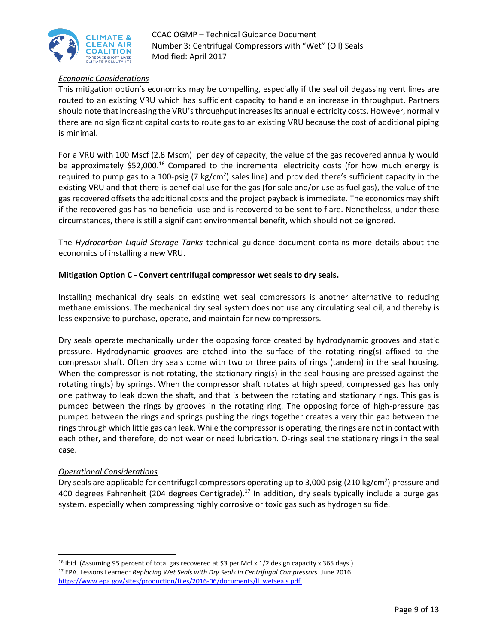

#### *Economic Considerations*

This mitigation option's economics may be compelling, especially if the seal oil degassing vent lines are routed to an existing VRU which has sufficient capacity to handle an increase in throughput. Partners should note that increasing the VRU's throughput increases its annual electricity costs. However, normally there are no significant capital costs to route gas to an existing VRU because the cost of additional piping is minimal.

For a VRU with 100 Mscf (2.8 Mscm) per day of capacity, the value of the gas recovered annually would be approximately \$52,000.<sup>16</sup> Compared to the incremental electricity costs (for how much energy is required to pump gas to a 100-psig (7 kg/cm<sup>2</sup>) sales line) and provided there's sufficient capacity in the existing VRU and that there is beneficial use for the gas (for sale and/or use as fuel gas), the value of the gas recovered offsets the additional costs and the project payback is immediate. The economics may shift if the recovered gas has no beneficial use and is recovered to be sent to flare. Nonetheless, under these circumstances, there is still a significant environmental benefit, which should not be ignored.

The *Hydrocarbon Liquid Storage Tanks* technical guidance document contains more details about the economics of installing a new VRU.

#### **Mitigation Option C - Convert centrifugal compressor wet seals to dry seals.**

Installing mechanical dry seals on existing wet seal compressors is another alternative to reducing methane emissions. The mechanical dry seal system does not use any circulating seal oil, and thereby is less expensive to purchase, operate, and maintain for new compressors.

Dry seals operate mechanically under the opposing force created by hydrodynamic grooves and static pressure. Hydrodynamic grooves are etched into the surface of the rotating ring(s) affixed to the compressor shaft. Often dry seals come with two or three pairs of rings (tandem) in the seal housing. When the compressor is not rotating, the stationary ring(s) in the seal housing are pressed against the rotating ring(s) by springs. When the compressor shaft rotates at high speed, compressed gas has only one pathway to leak down the shaft, and that is between the rotating and stationary rings. This gas is pumped between the rings by grooves in the rotating ring. The opposing force of high-pressure gas pumped between the rings and springs pushing the rings together creates a very thin gap between the rings through which little gas can leak. While the compressor is operating, the rings are not in contact with each other, and therefore, do not wear or need lubrication. O-rings seal the stationary rings in the seal case.

#### *Operational Considerations*

l

Dry seals are applicable for centrifugal compressors operating up to 3,000 psig (210 kg/cm<sup>2</sup>) pressure and 400 degrees Fahrenheit (204 degrees Centigrade).<sup>17</sup> In addition, dry seals typically include a purge gas system, especially when compressing highly corrosive or toxic gas such as hydrogen sulfide.

<sup>16</sup> Ibid. (Assuming 95 percent of total gas recovered at \$3 per Mcf x 1/2 design capacity x 365 days.) <sup>17</sup> EPA. Lessons Learned: *Replacing Wet Seals with Dry Seals In Centrifugal Compressors.* June 2016. https://www.epa.gov/sites/production/files/2016-06/documents/ll\_wetseals.pdf.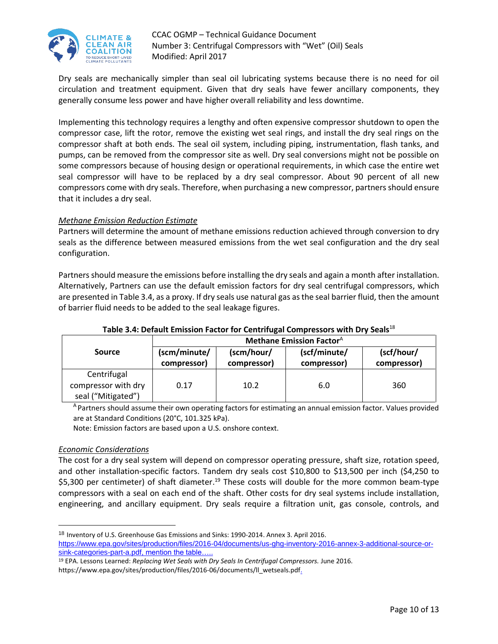

Dry seals are mechanically simpler than seal oil lubricating systems because there is no need for oil circulation and treatment equipment. Given that dry seals have fewer ancillary components, they generally consume less power and have higher overall reliability and less downtime.

Implementing this technology requires a lengthy and often expensive compressor shutdown to open the compressor case, lift the rotor, remove the existing wet seal rings, and install the dry seal rings on the compressor shaft at both ends. The seal oil system, including piping, instrumentation, flash tanks, and pumps, can be removed from the compressor site as well. Dry seal conversions might not be possible on some compressors because of housing design or operational requirements, in which case the entire wet seal compressor will have to be replaced by a dry seal compressor. About 90 percent of all new compressors come with dry seals. Therefore, when purchasing a new compressor, partners should ensure that it includes a dry seal.

#### *Methane Emission Reduction Estimate*

Partners will determine the amount of methane emissions reduction achieved through conversion to dry seals as the difference between measured emissions from the wet seal configuration and the dry seal configuration.

Partners should measure the emissions before installing the dry seals and again a month after installation. Alternatively, Partners can use the default emission factors for dry seal centrifugal compressors, which are presented in Table 3.4, as a proxy. If dry seals use natural gas as the seal barrier fluid, then the amount of barrier fluid needs to be added to the seal leakage figures.

|                                                          | <b>Methane Emission Factor</b> <sup>A</sup> |             |              |             |
|----------------------------------------------------------|---------------------------------------------|-------------|--------------|-------------|
| <b>Source</b>                                            | (scm/minute/                                | (scm/hour/  | (scf/minute/ | (scf/hour/  |
|                                                          | compressor)                                 | compressor) | compressor)  | compressor) |
| Centrifugal<br>compressor with dry<br>seal ("Mitigated") | 0.17                                        | 10.2        | 6.0          | 360         |

#### **Table 3.4: Default Emission Factor for Centrifugal Compressors with Dry Seals**<sup>18</sup>

<sup>A</sup> Partners should assume their own operating factors for estimating an annual emission factor. Values provided are at Standard Conditions (20°C, 101.325 kPa).

Note: Emission factors are based upon a U.S. onshore context.

#### *Economic Considerations*

 $\overline{\phantom{a}}$ 

The cost for a dry seal system will depend on compressor operating pressure, shaft size, rotation speed, and other installation-specific factors. Tandem dry seals cost \$10,800 to \$13,500 per inch (\$4,250 to \$5,300 per centimeter) of shaft diameter. <sup>19</sup> These costs will double for the more common beam-type compressors with a seal on each end of the shaft. Other costs for dry seal systems include installation, engineering, and ancillary equipment. Dry seals require a filtration unit, gas console, controls, and

<sup>&</sup>lt;sup>18</sup> Inventory of U.S. Greenhouse Gas Emissions and Sinks: 1990-2014. Annex 3. April 2016. [https://www.epa.gov/sites/production/files/2016-04/documents/us-ghg-inventory-2016-annex-3-additional-source-or](https://www.epa.gov/sites/production/files/2016-04/documents/us-ghg-inventory-2016-annex-3-additional-source-or-sink-categories-part-a.pdf)[sink-categories-part-a.pdf,](https://www.epa.gov/sites/production/files/2016-04/documents/us-ghg-inventory-2016-annex-3-additional-source-or-sink-categories-part-a.pdf) mention the table.

<sup>19</sup> EPA. Lessons Learned: *Replacing Wet Seals with Dry Seals In Centrifugal Compressors.* June 2016. https://www.epa.gov/sites/production/files/2016-06/documents/ll\_wetseals.pdf.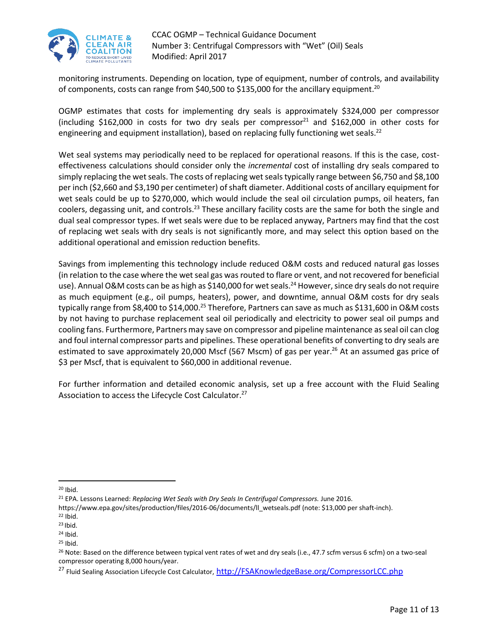

monitoring instruments. Depending on location, type of equipment, number of controls, and availability of components, costs can range from \$40,500 to \$135,000 for the ancillary equipment.<sup>20</sup>

OGMP estimates that costs for implementing dry seals is approximately \$324,000 per compressor (including \$162,000 in costs for two dry seals per compressor<sup>21</sup> and \$162,000 in other costs for engineering and equipment installation), based on replacing fully functioning wet seals.<sup>22</sup>

Wet seal systems may periodically need to be replaced for operational reasons. If this is the case, costeffectiveness calculations should consider only the *incremental* cost of installing dry seals compared to simply replacing the wet seals. The costs of replacing wet seals typically range between \$6,750 and \$8,100 per inch (\$2,660 and \$3,190 per centimeter) of shaft diameter. Additional costs of ancillary equipment for wet seals could be up to \$270,000, which would include the seal oil circulation pumps, oil heaters, fan coolers, degassing unit, and controls.<sup>23</sup> These ancillary facility costs are the same for both the single and dual seal compressor types. If wet seals were due to be replaced anyway, Partners may find that the cost of replacing wet seals with dry seals is not significantly more, and may select this option based on the additional operational and emission reduction benefits.

Savings from implementing this technology include reduced O&M costs and reduced natural gas losses (in relation to the case where the wet seal gas was routed to flare or vent, and not recovered for beneficial use). Annual O&M costs can be as high as \$140,000 for wet seals.<sup>24</sup> However, since dry seals do not require as much equipment (e.g., oil pumps, heaters), power, and downtime, annual O&M costs for dry seals typically range from \$8,400 to \$14,000.<sup>25</sup> Therefore, Partners can save as much as \$131,600 in O&M costs by not having to purchase replacement seal oil periodically and electricity to power seal oil pumps and cooling fans. Furthermore, Partners may save on compressor and pipeline maintenance as seal oil can clog and foul internal compressor parts and pipelines. These operational benefits of converting to dry seals are estimated to save approximately 20,000 Mscf (567 Mscm) of gas per year.<sup>26</sup> At an assumed gas price of \$3 per Mscf, that is equivalent to \$60,000 in additional revenue.

For further information and detailed economic analysis, set up a free account with the Fluid Sealing Association to access the Lifecycle Cost Calculator.<sup>27</sup>

 $\overline{\phantom{a}}$ 

<sup>20</sup> Ibid.

<sup>21</sup> EPA. Lessons Learned: *Replacing Wet Seals with Dry Seals In Centrifugal Compressors.* June 2016.

https://www.epa.gov/sites/production/files/2016-06/documents/ll\_wetseals.pdf (note: \$13,000 per shaft-inch).

 $22$  Ibid.

 $23$  Ibid.

 $24$  Ibid.

 $25$  Ibid.

<sup>&</sup>lt;sup>26</sup> Note: Based on the difference between typical vent rates of wet and dry seals (i.e., 47.7 scfm versus 6 scfm) on a two-seal compressor operating 8,000 hours/year.

<sup>&</sup>lt;sup>27</sup> Fluid Sealing Association Lifecycle Cost Calculator, [http://FSAKnowledgeBase.org/CompressorLCC.php](http://fsaknowledgebase.org/CompressorLCC.php)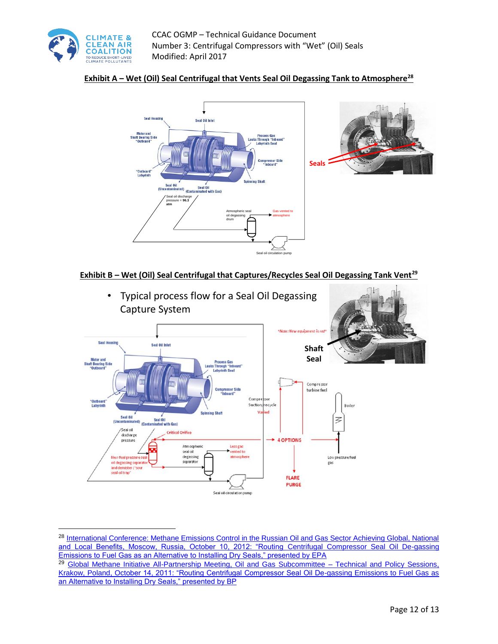

 $\overline{\phantom{a}}$ 

# **Exhibit A – Wet (Oil) Seal Centrifugal that Vents Seal Oil Degassing Tank to Atmosphere<sup>28</sup>**



#### **Exhibit B – Wet (Oil) Seal Centrifugal that Captures/Recycles Seal Oil Degassing Tank Vent<sup>29</sup>**



<sup>28</sup> International Conference: Methane Emissions Control in the Russian Oil and Gas Sector Achieving Global, National [and Local Benefits, Moscow, Russia, October 10, 2012: "Routing Centrifugal Compressor Seal Oil De-gassing](http://twk.pm/ppzyxr4ar4)  [Emissions to Fuel Gas as an Alternative to Installing Dry Seals," presented by EPA](http://twk.pm/ppzyxr4ar4)

<sup>&</sup>lt;sup>29</sup> [Global Methane Initiative All-Partnership Meeting, Oil and Gas Subcommittee –](http://twk.pm/15emfk45es) Technical and Policy Sessions, [Krakow, Poland, October 14, 2011: "Routing Centrifugal Compressor Seal Oil De-gassing Emissions to Fuel Gas as](http://twk.pm/15emfk45es)  [an Alternative to Installing Dry Seals," presented by BP](http://twk.pm/15emfk45es)